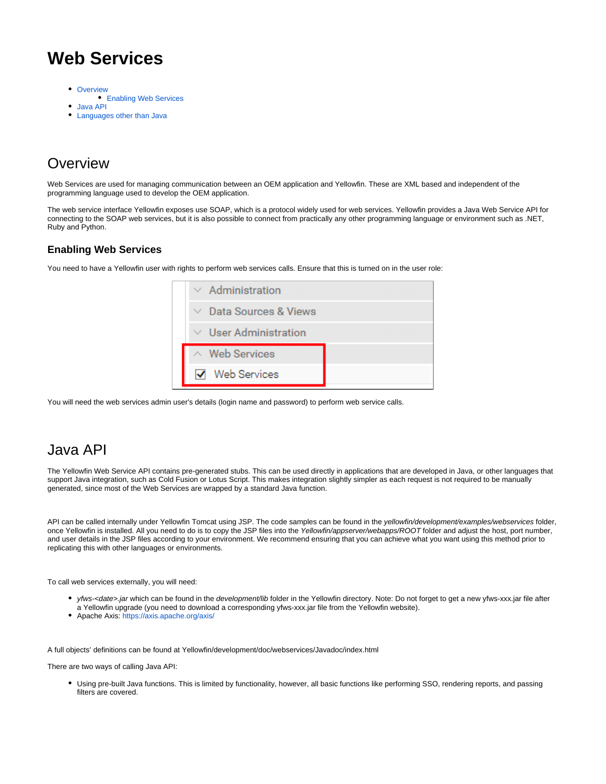## <span id="page-0-3"></span>**Web Services**

- [Overview](#page-0-0)
- [Enabling Web Services](#page-0-1)
- [Java API](#page-0-2)
- [Languages other than Java](#page-1-0)

## <span id="page-0-0"></span>**Overview**

Web Services are used for managing communication between an OEM application and Yellowfin. These are XML based and independent of the programming language used to develop the OEM application.

The web service interface Yellowfin exposes use SOAP, which is a protocol widely used for web services. Yellowfin provides a Java Web Service API for connecting to the SOAP web services, but it is also possible to connect from practically any other programming language or environment such as .NET, Ruby and Python.

### <span id="page-0-1"></span>**Enabling Web Services**

You need to have a Yellowfin user with rights to perform web services calls. Ensure that this is turned on in the user role:

| $\vee$ Administration       |
|-----------------------------|
| $\vee$ Data Sources & Views |
| $\vee$ User Administration  |
| $\land$ Web Services        |
| <b>Web Services</b>         |

You will need the web services admin user's details (login name and password) to perform web service calls.

### <span id="page-0-2"></span>Java API

The Yellowfin Web Service API contains pre-generated stubs. This can be used directly in applications that are developed in Java, or other languages that support Java integration, such as Cold Fusion or Lotus Script. This makes integration slightly simpler as each request is not required to be manually generated, since most of the Web Services are wrapped by a standard Java function.

API can be called internally under Yellowfin Tomcat using JSP. The code samples can be found in the yellowfin/development/examples/webservices folder, once Yellowfin is installed. All you need to do is to copy the JSP files into the Yellowfin/appserver/webapps/ROOT folder and adjust the host, port number, and user details in the JSP files according to your environment. We recommend ensuring that you can achieve what you want using this method prior to replicating this with other languages or environments.

To call web services externally, you will need:

- yfws-<date>.jar which can be found in the development/lib folder in the Yellowfin directory. Note: Do not forget to get a new yfws-xxx.jar file after a Yellowfin upgrade (you need to download a corresponding yfws-xxx.jar file from the Yellowfin website).
- Apache Axis: <https://axis.apache.org/axis/>

A full objects' definitions can be found at Yellowfin/development/doc/webservices/Javadoc/index.html

There are two ways of calling Java API:

Using pre-built Java functions. This is limited by functionality, however, all basic functions like performing SSO, rendering reports, and passing filters are covered.

⊘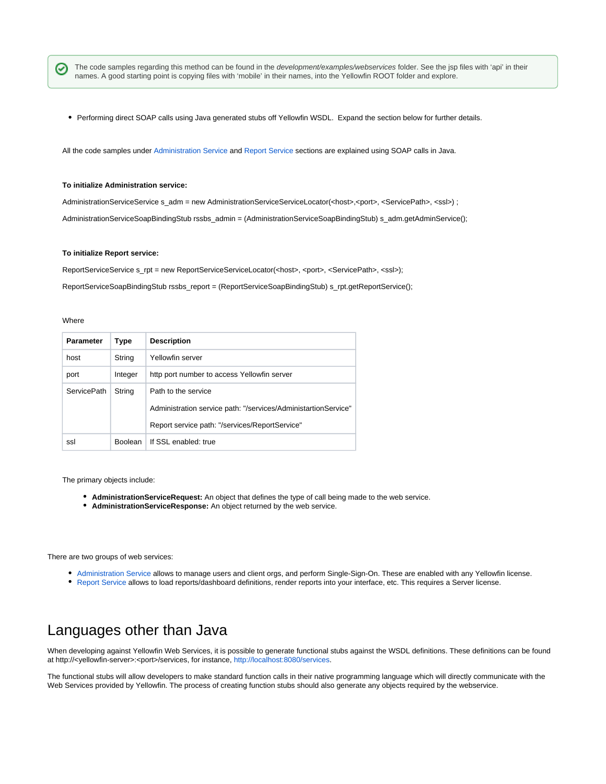The code samples regarding this method can be found in the development/examples/webservices folder. See the jsp files with 'api' in their names. A good starting point is copying files with 'mobile' in their names, into the Yellowfin ROOT folder and explore.

Performing direct SOAP calls using Java generated stubs off Yellowfin WSDL. Expand the section below for further details.

All the code samples under [Administration Service](https://wiki.yellowfinbi.com/display/USER73Plus/Administration+Service) and [Report Service](https://wiki.yellowfinbi.com/display/USER73Plus/Report+Service) sections are explained using SOAP calls in Java.

#### **To initialize Administration service:**

AdministrationServiceService s\_adm = new AdministrationServiceServiceLocator(<host>,<port>, <ServicePath>, <ssl>) ; AdministrationServiceSoapBindingStub rssbs\_admin = (AdministrationServiceSoapBindingStub) s\_adm.getAdminService();

#### **To initialize Report service:**

ReportServiceService s\_rpt = new ReportServiceServiceLocator(<host>, <port>, <ServicePath>, <ssl>);

ReportServiceSoapBindingStub rssbs\_report = (ReportServiceSoapBindingStub) s\_rpt.getReportService();

#### **Where**

☑

| <b>Parameter</b>   | Type           | <b>Description</b>                                             |  |
|--------------------|----------------|----------------------------------------------------------------|--|
| host               | String         | Yellowfin server                                               |  |
| port               | Integer        | http port number to access Yellowfin server                    |  |
| <b>ServicePath</b> | String         | Path to the service                                            |  |
|                    |                | Administration service path: "/services/AdministartionService" |  |
|                    |                | Report service path: "/services/ReportService"                 |  |
| ssl                | <b>Boolean</b> | If SSL enabled: true                                           |  |

The primary objects include:

- **AdministrationServiceRequest:** An object that defines the type of call being made to the web service.
- **AdministrationServiceResponse:** An object returned by the web service.

There are two groups of web services:

- [Administration Service](https://wiki.yellowfinbi.com/display/USER73Plus/Administration+Service) allows to manage users and client orgs, and perform Single-Sign-On. These are enabled with any Yellowfin license.
- [Report Service](https://wiki.yellowfinbi.com/display/USER73Plus/Report+Service) allows to load reports/dashboard definitions, render reports into your interface, etc. This requires a Server license.

### <span id="page-1-0"></span>Languages other than Java

When developing against Yellowfin Web Services, it is possible to generate functional stubs against the WSDL definitions. These definitions can be found at http://<yellowfin-server>:<port>/services, for instance,<http://localhost:8080/services>.

The functional stubs will allow developers to make standard function calls in their native programming language which will directly communicate with the Web Services provided by Yellowfin. The process of creating function stubs should also generate any objects required by the webservice.